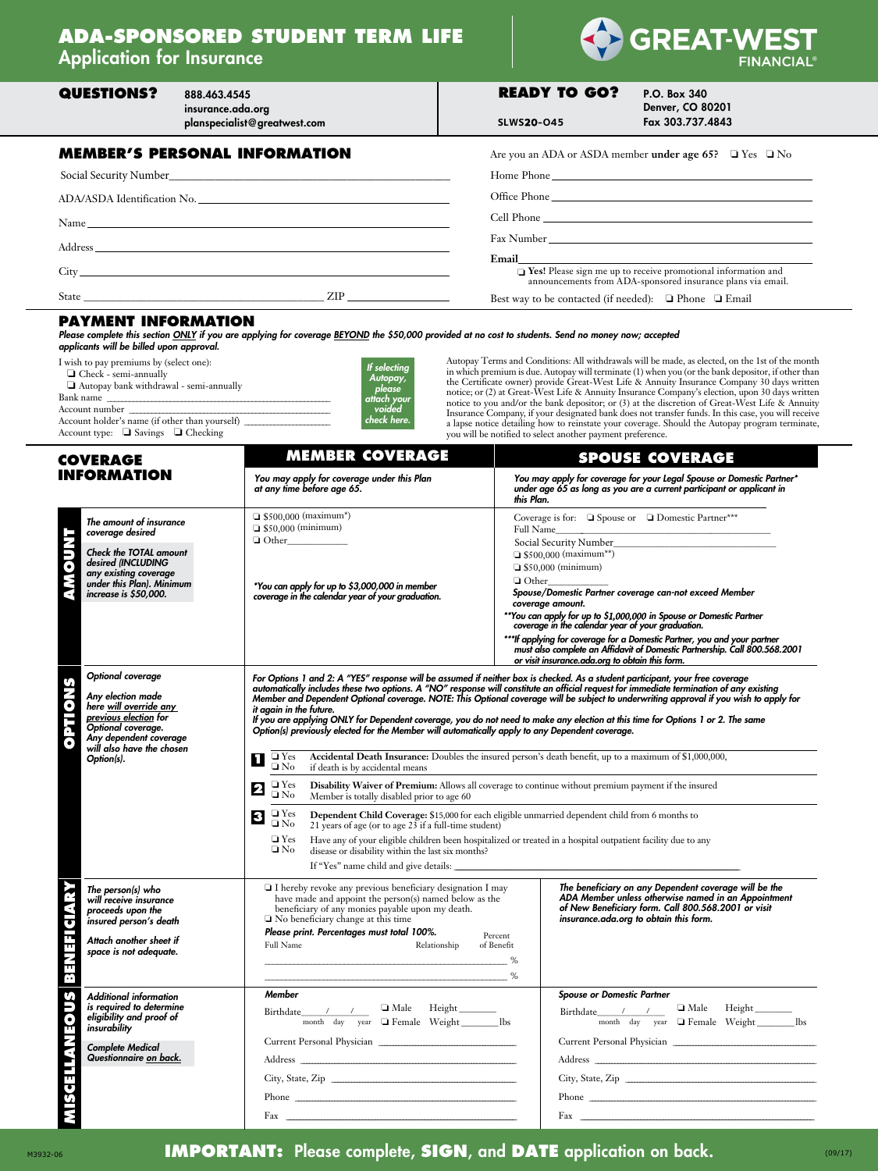# **ADA-SPONSORED STUDENT TERM LIFE** Application for Insurance



| <b>QUESTIONS?</b> | 888.463.4545<br>insurance.ada.org<br>planspecialist@greatwest.com | <b>READY TO GO?</b><br><b>SLWS20-045</b> | P.O. Box 340<br><b>Denver, CO 80201</b><br>Fax 303.737.4843                                                                                                                                                                                                                                                                                                   |
|-------------------|-------------------------------------------------------------------|------------------------------------------|---------------------------------------------------------------------------------------------------------------------------------------------------------------------------------------------------------------------------------------------------------------------------------------------------------------------------------------------------------------|
|                   | <b>MEMBER'S PERSONAL INFORMATION</b>                              |                                          | Are you an ADA or ASDA member under age 65? $\Box$ Yes $\Box$ No                                                                                                                                                                                                                                                                                              |
|                   |                                                                   |                                          |                                                                                                                                                                                                                                                                                                                                                               |
|                   |                                                                   |                                          |                                                                                                                                                                                                                                                                                                                                                               |
|                   |                                                                   |                                          |                                                                                                                                                                                                                                                                                                                                                               |
|                   | Address                                                           |                                          |                                                                                                                                                                                                                                                                                                                                                               |
|                   |                                                                   |                                          | Email and the contract of the contract of the contract of the contract of the contract of the contract of the contract of the contract of the contract of the contract of the contract of the contract of the contract of the<br>Tes! Please sign me up to receive promotional information and<br>announcements from ADA-sponsored insurance plans via email. |
|                   |                                                                   |                                          | Best way to be contacted (if needed): $\Box$ Phone $\Box$ Email                                                                                                                                                                                                                                                                                               |

#### **Payment Information**

*Please complete this section ONLY if you are applying for coverage BEYOND the \$50,000 provided at no cost to students. Send no money now; accepted applicants will be billed upon approval.*

| I wish to pay premiums by (select one):<br>$\Box$ Check - semi-annually<br>Autopay bank withdrawal - semi-annually<br>Bank name | If selecting<br>Autopay,<br>please<br>attach your |
|---------------------------------------------------------------------------------------------------------------------------------|---------------------------------------------------|
| Account number                                                                                                                  | voided                                            |
| Account holder's name (if other than yourself)                                                                                  | check here.                                       |
| Account type: $\Box$ Savings $\Box$ Checking                                                                                    |                                                   |

Autopay Terms and Conditions: All withdrawals will be made, as elected, on the 1st of the month in which premium is due. Autopay will terminate (1) when you (or the bank depositor, if other than the Certificate owner) provide Great-West Life & Annuity Insurance Company 30 days written notice; or (2) at Great-West Life & Annuity Insurance Company's election, upon 30 days written notice to you and/or the bank depositor; or (3) at the discretion of Great-West Life & Annuity Insurance Company, if your designated bank does not transfer funds. In this case, you will receive a lapse notice detailing how to reinstate your coverage. Should the Autopay program terminate, you will be notified to select another payment preference.

| <b>COVERAGE</b>                                                                                                                                                                                                         | <b>MEMBER COVERAGE</b>                                                                                                                                                                                                                                                                                                                                                                                                                                                                                                                                                                                                                                                                                                                                                                                                                                                                                                                                                                                                                                                                                                                                                                                                                                                                                                                              | <b>SPOUSE COVERAGE</b>                                                                                                                                                                                        |  |  |
|-------------------------------------------------------------------------------------------------------------------------------------------------------------------------------------------------------------------------|-----------------------------------------------------------------------------------------------------------------------------------------------------------------------------------------------------------------------------------------------------------------------------------------------------------------------------------------------------------------------------------------------------------------------------------------------------------------------------------------------------------------------------------------------------------------------------------------------------------------------------------------------------------------------------------------------------------------------------------------------------------------------------------------------------------------------------------------------------------------------------------------------------------------------------------------------------------------------------------------------------------------------------------------------------------------------------------------------------------------------------------------------------------------------------------------------------------------------------------------------------------------------------------------------------------------------------------------------------|---------------------------------------------------------------------------------------------------------------------------------------------------------------------------------------------------------------|--|--|
| <b>INFORMATION</b>                                                                                                                                                                                                      | You may apply for coverage under this Plan<br>at any time before age 65.                                                                                                                                                                                                                                                                                                                                                                                                                                                                                                                                                                                                                                                                                                                                                                                                                                                                                                                                                                                                                                                                                                                                                                                                                                                                            | You may apply for coverage for your Legal Spouse or Domestic Partner*<br>under age 65 as long as you are a current participant or applicant in<br>this Plan.                                                  |  |  |
| The amount of insurance<br>coverage desired<br><b>TNOOWE</b><br><b>Check the TOTAL amount</b><br>desired (INCLUDING<br>any existing coverage<br>under this Plan). Minimum<br>increase is \$50,000.<br>Optional coverage | $\Box$ \$500,000 (maximum*)<br>Coverage is for: $\Box$ Spouse or $\Box$ Domestic Partner***<br>$\Box$ \$50,000 (minimum)<br><b>Full Name</b><br>Social Security Number_<br>$\Box$ \$500,000 (maximum**)<br>$\Box$ \$50,000 (minimum)<br>$\Box$ Other<br>*You can apply for up to \$3,000,000 in member<br>Spouse/Domestic Partner coverage can-not exceed Member<br>coverage in the calendar year of your graduation.<br>coverage amount.<br>**You can apply for up to \$1,000,000 in Spouse or Domestic Partner<br>coverage in the calendar year of your graduation.<br>*** If applying for coverage for a Domestic Partner, you and your partner<br>must also complete an Affidavit of Domestic Partnership. Call 800.568.2001<br>or visit insurance.ada.org to obtain this form.<br>For Options 1 and 2: A "YES" response will be assumed if neither box is checked. As a student participant, your free coverage                                                                                                                                                                                                                                                                                                                                                                                                                                |                                                                                                                                                                                                               |  |  |
| <b>SNOILdO</b><br>Any election made<br>here will override any<br>previous election for<br>Optional coverage.<br>Any dependent coverage<br>will also have the chosen<br>Option(s).                                       | automatically includes these two options. A "NO" response will constitute an official request for immediate termination of any existing<br>Member and Dependent Optional coverage. NOTE: This Optional coverage will be subject to underwriting approval if you wish to apply for<br>it again in the future.<br>If you are applying ONLY for Dependent coverage, you do not need to make any election at this time for Options 1 or 2. The same<br>Option(s) previously elected for the Member will automatically apply to any Dependent coverage.<br>Accidental Death Insurance: Doubles the insured person's death benefit, up to a maximum of \$1,000,000,<br>$\Box$ Yes<br>L<br>$\square$ No<br>if death is by accidental means<br>$\Box$ Yes<br>Disability Waiver of Premium: Allows all coverage to continue without premium payment if the insured<br>$\overline{\mathbf{2}}$<br>$\square$<br>No<br>Member is totally disabled prior to age 60<br>$\Box$ Yes $\Box$ No<br>Dependent Child Coverage: \$15,000 for each eligible unmarried dependent child from 6 months to<br>3<br>21 years of age (or to age $23$ if a full-time student)<br>$\Box$ Yes<br>Have any of your eligible children been hospitalized or treated in a hospital outpatient facility due to any<br>$\square$ No<br>disease or disability within the last six months? |                                                                                                                                                                                                               |  |  |
| NEFICIARY<br>The person(s) who<br>will receive insurance<br>proceeds upon the<br>insured person's death<br>Attach another sheet if<br>space is not adequate.<br>E (3                                                    | I hereby revoke any previous beneficiary designation I may<br>have made and appoint the person(s) named below as the<br>beneficiary of any monies payable upon my death.<br>□ No beneficiary change at this time<br>Please print. Percentages must total 100%.<br>Percent<br>Full Name<br>Relationship<br>of Benefit<br>%<br>%                                                                                                                                                                                                                                                                                                                                                                                                                                                                                                                                                                                                                                                                                                                                                                                                                                                                                                                                                                                                                      | The beneficiary on any Dependent coverage will be the<br>ADA Member unless otherwise named in an Appointment<br>of New Beneficiary form. Call 800.568.2001 or visit<br>insurance.ada.org to obtain this form. |  |  |
| <b>MISCELLANEOUS</b><br><b>Additional information</b><br>is required to determine<br>eligibility and proof of<br>insurability<br><b>Complete Medical</b><br>Questionnaire on back.                                      | <b>Member</b><br>Male Height<br>Birthdate / /<br>month day year I Female Weight _______ lbs<br>Phone                                                                                                                                                                                                                                                                                                                                                                                                                                                                                                                                                                                                                                                                                                                                                                                                                                                                                                                                                                                                                                                                                                                                                                                                                                                | <b>Spouse or Domestic Partner</b><br>Birthdate / /<br>month day year Female Weight ________ lbs                                                                                                               |  |  |